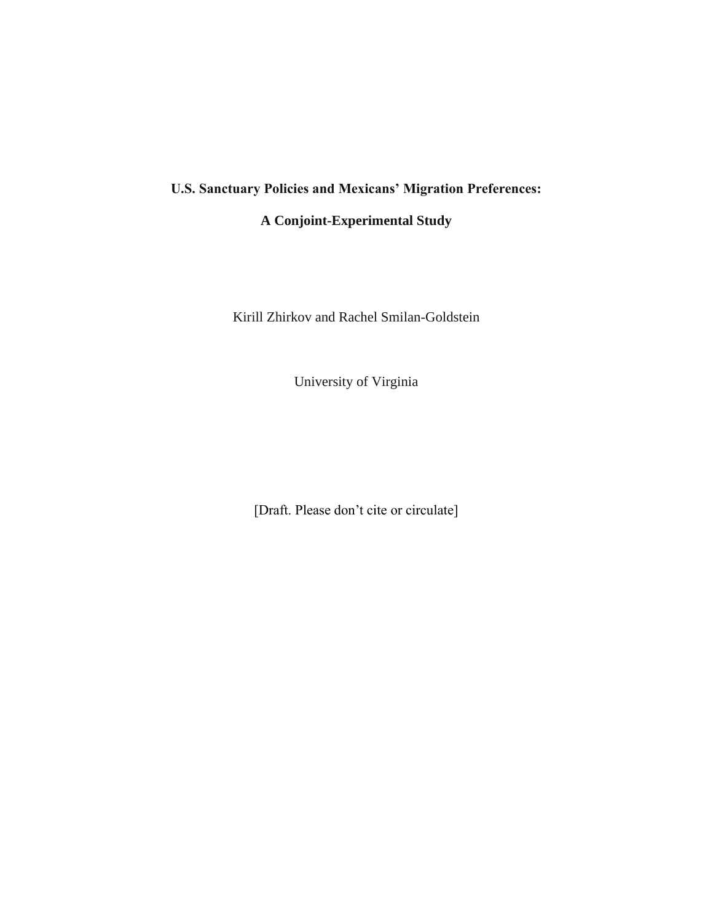# **U.S. Sanctuary Policies and Mexicans' Migration Preferences:**

## **A Conjoint-Experimental Study**

Kirill Zhirkov and Rachel Smilan-Goldstein

University of Virginia

[Draft. Please don't cite or circulate]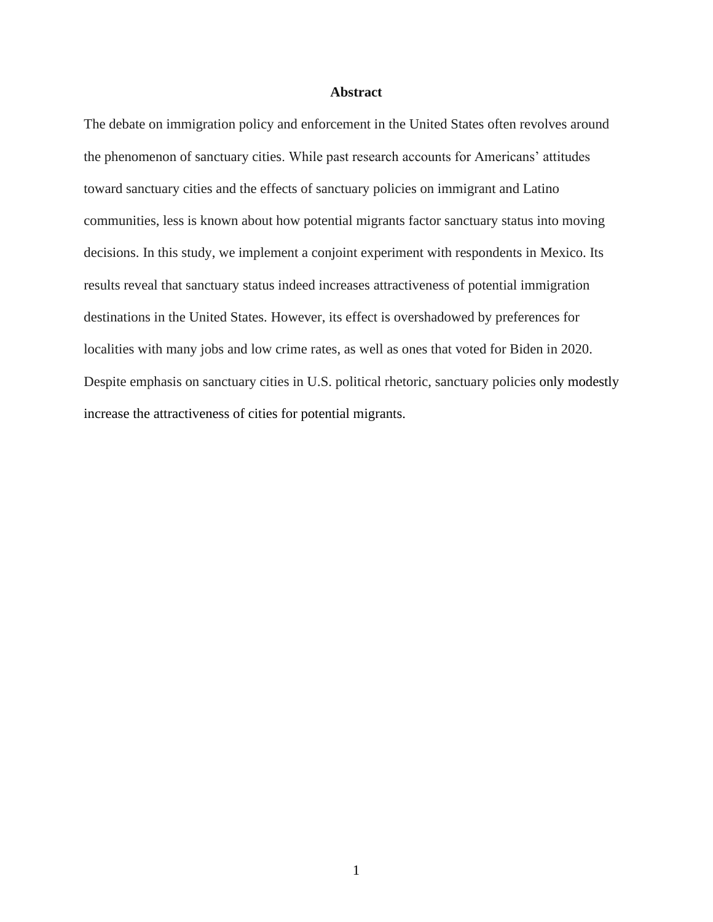## **Abstract**

The debate on immigration policy and enforcement in the United States often revolves around the phenomenon of sanctuary cities. While past research accounts for Americans' attitudes toward sanctuary cities and the effects of sanctuary policies on immigrant and Latino communities, less is known about how potential migrants factor sanctuary status into moving decisions. In this study, we implement a conjoint experiment with respondents in Mexico. Its results reveal that sanctuary status indeed increases attractiveness of potential immigration destinations in the United States. However, its effect is overshadowed by preferences for localities with many jobs and low crime rates, as well as ones that voted for Biden in 2020. Despite emphasis on sanctuary cities in U.S. political rhetoric, sanctuary policies only modestly increase the attractiveness of cities for potential migrants.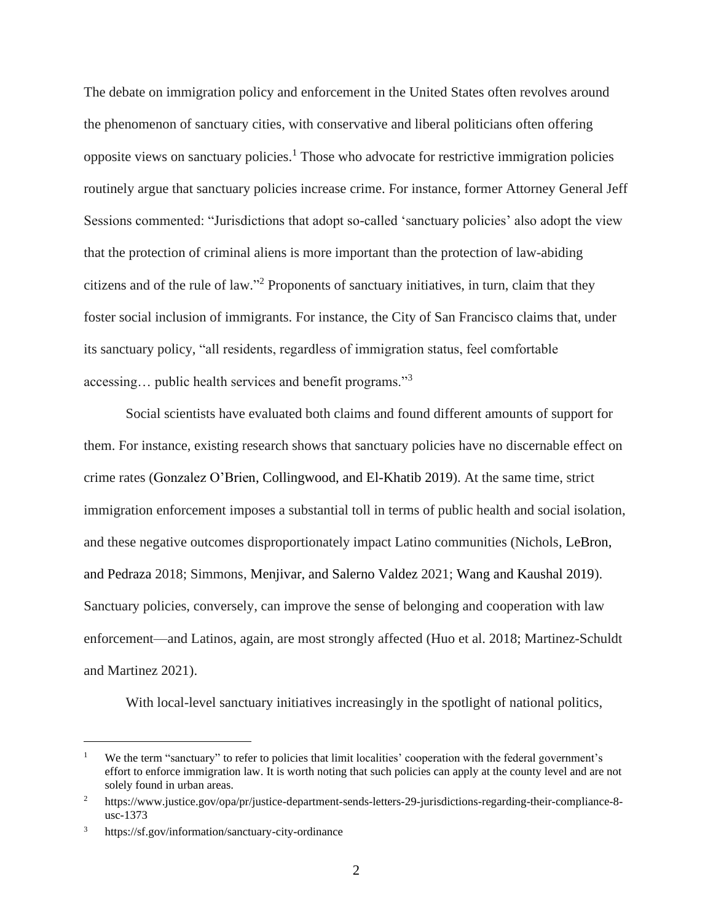The debate on immigration policy and enforcement in the United States often revolves around the phenomenon of sanctuary cities, with conservative and liberal politicians often offering opposite views on sanctuary policies.<sup>1</sup> Those who advocate for restrictive immigration policies routinely argue that sanctuary policies increase crime. For instance, former Attorney General Jeff Sessions commented: "Jurisdictions that adopt so-called 'sanctuary policies' also adopt the view that the protection of criminal aliens is more important than the protection of law-abiding citizens and of the rule of law." <sup>2</sup> Proponents of sanctuary initiatives, in turn, claim that they foster social inclusion of immigrants. For instance, the City of San Francisco claims that, under its sanctuary policy, "all residents, regardless of immigration status, feel comfortable accessing… public health services and benefit programs."<sup>3</sup>

Social scientists have evaluated both claims and found different amounts of support for them. For instance, existing research shows that sanctuary policies have no discernable effect on crime rates (Gonzalez O'Brien, Collingwood, and El-Khatib 2019). At the same time, strict immigration enforcement imposes a substantial toll in terms of public health and social isolation, and these negative outcomes disproportionately impact Latino communities (Nichols, LeBron, and Pedraza 2018; Simmons, Menjivar, and Salerno Valdez 2021; Wang and Kaushal 2019). Sanctuary policies, conversely, can improve the sense of belonging and cooperation with law enforcement—and Latinos, again, are most strongly affected (Huo et al. 2018; Martinez-Schuldt and Martinez 2021).

With local-level sanctuary initiatives increasingly in the spotlight of national politics,

<sup>&</sup>lt;sup>1</sup> We the term "sanctuary" to refer to policies that limit localities' cooperation with the federal government's effort to enforce immigration law. It is worth noting that such policies can apply at the county level and are not solely found in urban areas.

<sup>&</sup>lt;sup>2</sup> https://www.justice.gov/opa/pr/justice-department-sends-letters-29-jurisdictions-regarding-their-compliance-8usc-1373

<sup>3</sup> https://sf.gov/information/sanctuary-city-ordinance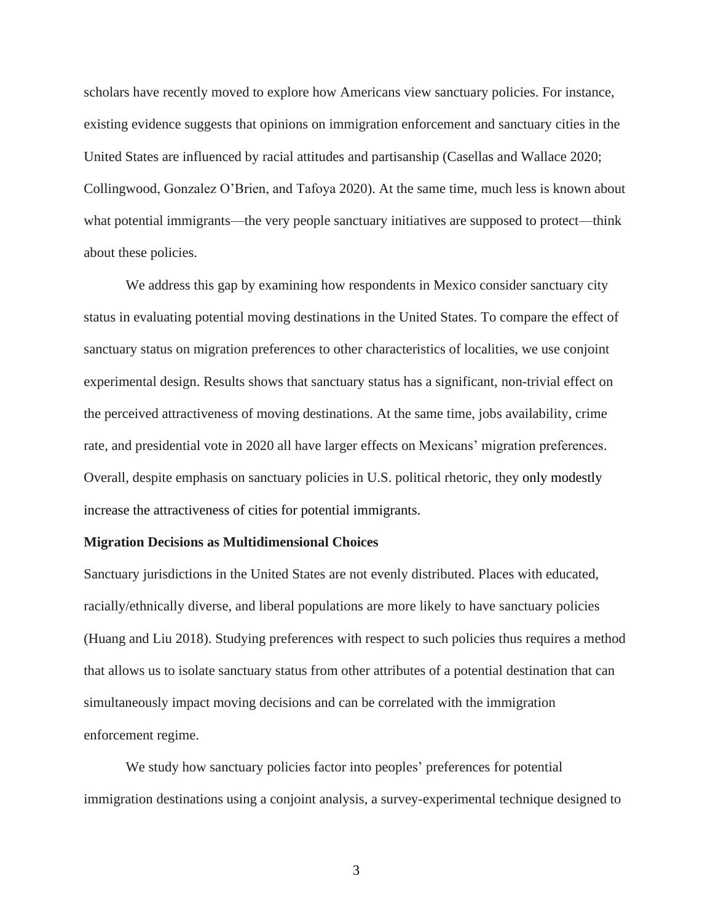scholars have recently moved to explore how Americans view sanctuary policies. For instance, existing evidence suggests that opinions on immigration enforcement and sanctuary cities in the United States are influenced by racial attitudes and partisanship (Casellas and Wallace 2020; Collingwood, Gonzalez O'Brien, and Tafoya 2020). At the same time, much less is known about what potential immigrants—the very people sanctuary initiatives are supposed to protect—think about these policies.

We address this gap by examining how respondents in Mexico consider sanctuary city status in evaluating potential moving destinations in the United States. To compare the effect of sanctuary status on migration preferences to other characteristics of localities, we use conjoint experimental design. Results shows that sanctuary status has a significant, non-trivial effect on the perceived attractiveness of moving destinations. At the same time, jobs availability, crime rate, and presidential vote in 2020 all have larger effects on Mexicans' migration preferences. Overall, despite emphasis on sanctuary policies in U.S. political rhetoric, they only modestly increase the attractiveness of cities for potential immigrants.

#### **Migration Decisions as Multidimensional Choices**

Sanctuary jurisdictions in the United States are not evenly distributed. Places with educated, racially/ethnically diverse, and liberal populations are more likely to have sanctuary policies (Huang and Liu 2018). Studying preferences with respect to such policies thus requires a method that allows us to isolate sanctuary status from other attributes of a potential destination that can simultaneously impact moving decisions and can be correlated with the immigration enforcement regime.

We study how sanctuary policies factor into peoples' preferences for potential immigration destinations using a conjoint analysis, a survey-experimental technique designed to

3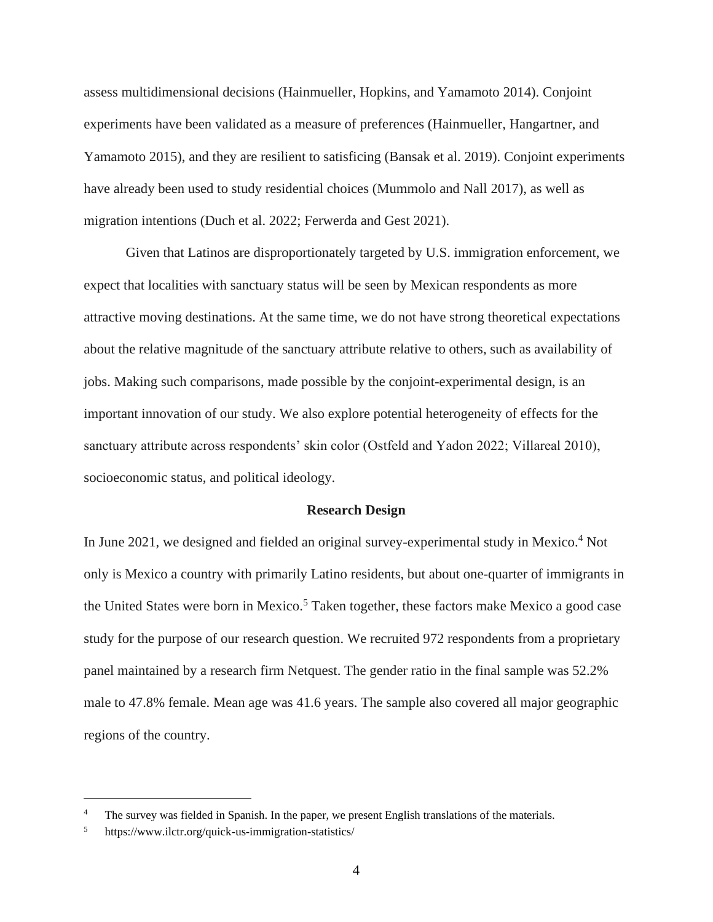assess multidimensional decisions (Hainmueller, Hopkins, and Yamamoto 2014). Conjoint experiments have been validated as a measure of preferences (Hainmueller, Hangartner, and Yamamoto 2015), and they are resilient to satisficing (Bansak et al. 2019). Conjoint experiments have already been used to study residential choices (Mummolo and Nall 2017), as well as migration intentions (Duch et al. 2022; Ferwerda and Gest 2021).

Given that Latinos are disproportionately targeted by U.S. immigration enforcement, we expect that localities with sanctuary status will be seen by Mexican respondents as more attractive moving destinations. At the same time, we do not have strong theoretical expectations about the relative magnitude of the sanctuary attribute relative to others, such as availability of jobs. Making such comparisons, made possible by the conjoint-experimental design, is an important innovation of our study. We also explore potential heterogeneity of effects for the sanctuary attribute across respondents' skin color (Ostfeld and Yadon 2022; Villareal 2010), socioeconomic status, and political ideology.

#### **Research Design**

In June 2021, we designed and fielded an original survey-experimental study in Mexico.<sup>4</sup> Not only is Mexico a country with primarily Latino residents, but about one-quarter of immigrants in the United States were born in Mexico.<sup>5</sup> Taken together, these factors make Mexico a good case study for the purpose of our research question. We recruited 972 respondents from a proprietary panel maintained by a research firm Netquest. The gender ratio in the final sample was 52.2% male to 47.8% female. Mean age was 41.6 years. The sample also covered all major geographic regions of the country.

<sup>&</sup>lt;sup>4</sup> The survey was fielded in Spanish. In the paper, we present English translations of the materials.

<sup>5</sup> https://www.ilctr.org/quick-us-immigration-statistics/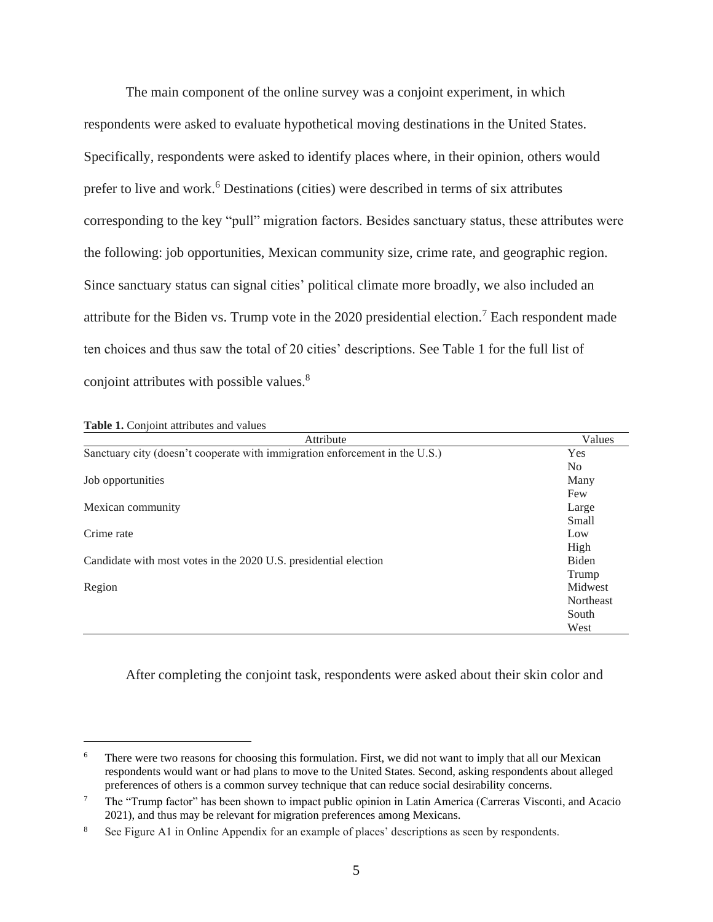The main component of the online survey was a conjoint experiment, in which respondents were asked to evaluate hypothetical moving destinations in the United States. Specifically, respondents were asked to identify places where, in their opinion, others would prefer to live and work.<sup>6</sup> Destinations (cities) were described in terms of six attributes corresponding to the key "pull" migration factors. Besides sanctuary status, these attributes were the following: job opportunities, Mexican community size, crime rate, and geographic region. Since sanctuary status can signal cities' political climate more broadly, we also included an attribute for the Biden vs. Trump vote in the  $2020$  presidential election.<sup>7</sup> Each respondent made ten choices and thus saw the total of 20 cities' descriptions. See Table 1 for the full list of conjoint attributes with possible values.<sup>8</sup>

| Attribute                                                                   | Values         |
|-----------------------------------------------------------------------------|----------------|
| Sanctuary city (doesn't cooperate with immigration enforcement in the U.S.) | Yes            |
|                                                                             | N <sub>0</sub> |
| Job opportunities                                                           | Many           |
|                                                                             | Few            |
| Mexican community                                                           | Large          |
|                                                                             | Small          |
| Crime rate                                                                  | Low            |
|                                                                             | High           |
| Candidate with most votes in the 2020 U.S. presidential election            | Biden          |
|                                                                             | Trump          |
| Region                                                                      | Midwest        |
|                                                                             | Northeast      |
|                                                                             | South          |
|                                                                             | West           |

**Table 1.** Conjoint attributes and values

After completing the conjoint task, respondents were asked about their skin color and

There were two reasons for choosing this formulation. First, we did not want to imply that all our Mexican respondents would want or had plans to move to the United States. Second, asking respondents about alleged preferences of others is a common survey technique that can reduce social desirability concerns.

<sup>7</sup> The "Trump factor" has been shown to impact public opinion in Latin America (Carreras Visconti, and Acacio 2021), and thus may be relevant for migration preferences among Mexicans.

<sup>8</sup> See Figure A1 in Online Appendix for an example of places' descriptions as seen by respondents.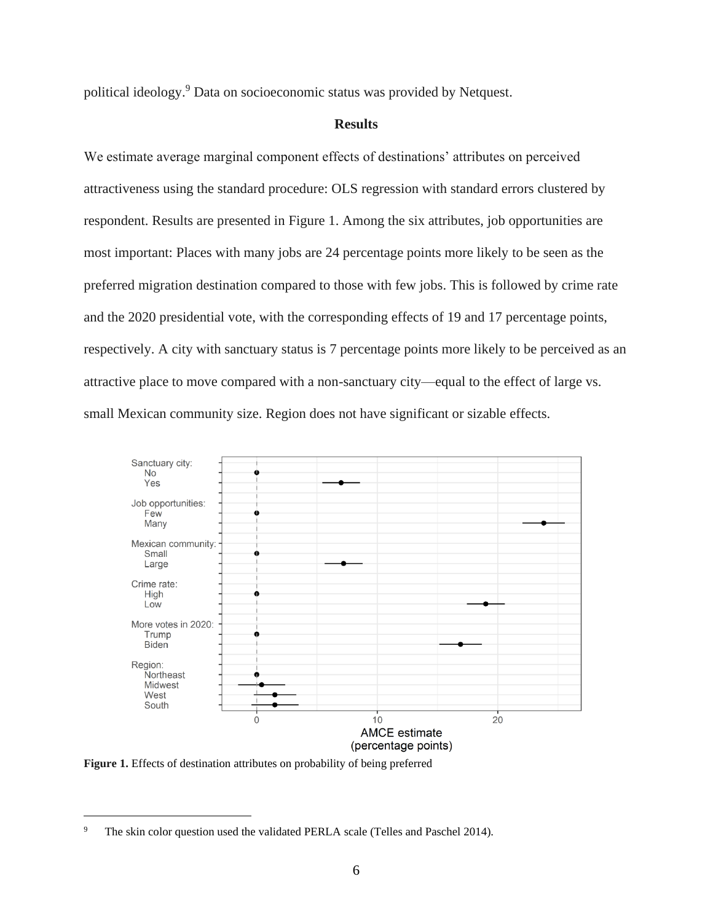political ideology.<sup>9</sup> Data on socioeconomic status was provided by Netquest.

## **Results**

We estimate average marginal component effects of destinations' attributes on perceived attractiveness using the standard procedure: OLS regression with standard errors clustered by respondent. Results are presented in Figure 1. Among the six attributes, job opportunities are most important: Places with many jobs are 24 percentage points more likely to be seen as the preferred migration destination compared to those with few jobs. This is followed by crime rate and the 2020 presidential vote, with the corresponding effects of 19 and 17 percentage points, respectively. A city with sanctuary status is 7 percentage points more likely to be perceived as an attractive place to move compared with a non-sanctuary city—equal to the effect of large vs. small Mexican community size. Region does not have significant or sizable effects.



**Figure 1.** Effects of destination attributes on probability of being preferred

The skin color question used the validated PERLA scale (Telles and Paschel 2014).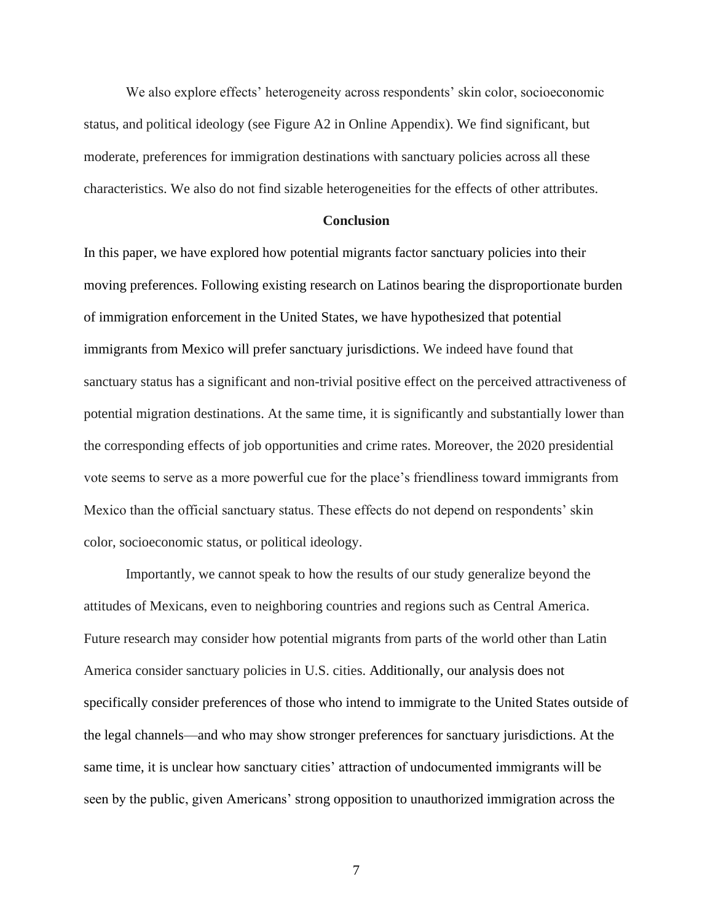We also explore effects' heterogeneity across respondents' skin color, socioeconomic status, and political ideology (see Figure A2 in Online Appendix). We find significant, but moderate, preferences for immigration destinations with sanctuary policies across all these characteristics. We also do not find sizable heterogeneities for the effects of other attributes.

#### **Conclusion**

In this paper, we have explored how potential migrants factor sanctuary policies into their moving preferences. Following existing research on Latinos bearing the disproportionate burden of immigration enforcement in the United States, we have hypothesized that potential immigrants from Mexico will prefer sanctuary jurisdictions. We indeed have found that sanctuary status has a significant and non-trivial positive effect on the perceived attractiveness of potential migration destinations. At the same time, it is significantly and substantially lower than the corresponding effects of job opportunities and crime rates. Moreover, the 2020 presidential vote seems to serve as a more powerful cue for the place's friendliness toward immigrants from Mexico than the official sanctuary status. These effects do not depend on respondents' skin color, socioeconomic status, or political ideology.

Importantly, we cannot speak to how the results of our study generalize beyond the attitudes of Mexicans, even to neighboring countries and regions such as Central America. Future research may consider how potential migrants from parts of the world other than Latin America consider sanctuary policies in U.S. cities. Additionally, our analysis does not specifically consider preferences of those who intend to immigrate to the United States outside of the legal channels—and who may show stronger preferences for sanctuary jurisdictions. At the same time, it is unclear how sanctuary cities' attraction of undocumented immigrants will be seen by the public, given Americans' strong opposition to unauthorized immigration across the

7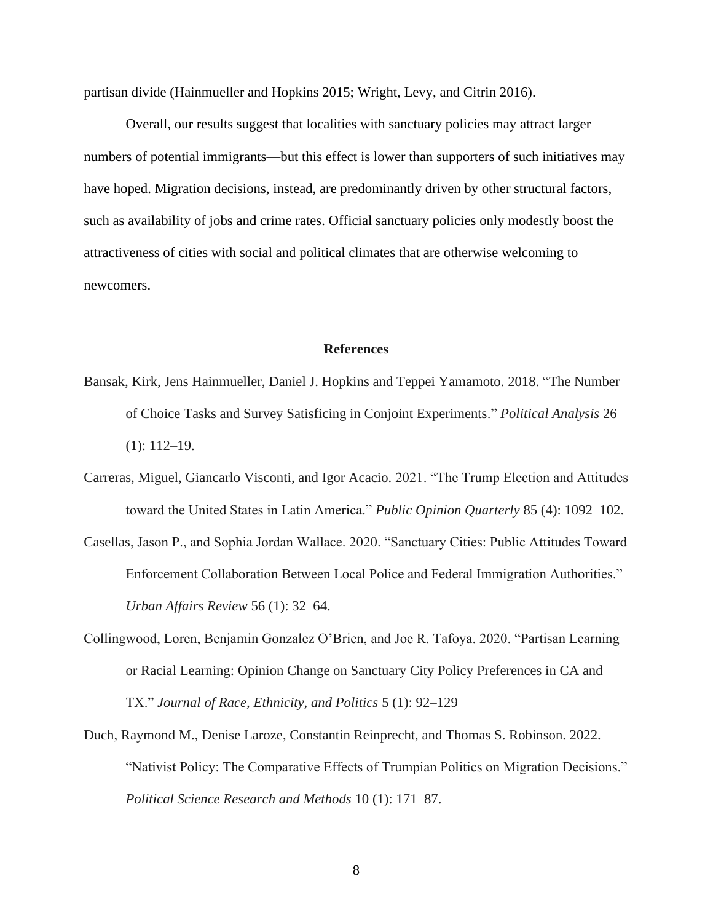partisan divide (Hainmueller and Hopkins 2015; Wright, Levy, and Citrin 2016).

Overall, our results suggest that localities with sanctuary policies may attract larger numbers of potential immigrants—but this effect is lower than supporters of such initiatives may have hoped. Migration decisions, instead, are predominantly driven by other structural factors, such as availability of jobs and crime rates. Official sanctuary policies only modestly boost the attractiveness of cities with social and political climates that are otherwise welcoming to newcomers.

#### **References**

- Bansak, Kirk, Jens Hainmueller, Daniel J. Hopkins and Teppei Yamamoto. 2018. "The Number of Choice Tasks and Survey Satisficing in Conjoint Experiments." *Political Analysis* 26 (1): 112–19.
- Carreras, Miguel, Giancarlo Visconti, and Igor Acacio. 2021. "The Trump Election and Attitudes toward the United States in Latin America." *Public Opinion Quarterly* 85 (4): 1092–102.
- Casellas, Jason P., and Sophia Jordan Wallace. 2020. "Sanctuary Cities: Public Attitudes Toward Enforcement Collaboration Between Local Police and Federal Immigration Authorities." *Urban Affairs Review* 56 (1): 32–64.
- Collingwood, Loren, Benjamin Gonzalez O'Brien, and Joe R. Tafoya. 2020. "Partisan Learning or Racial Learning: Opinion Change on Sanctuary City Policy Preferences in CA and TX." *Journal of Race, Ethnicity, and Politics* 5 (1): 92–129
- Duch, Raymond M., Denise Laroze, Constantin Reinprecht, and Thomas S. Robinson. 2022. "Nativist Policy: The Comparative Effects of Trumpian Politics on Migration Decisions." *Political Science Research and Methods* 10 (1): 171–87.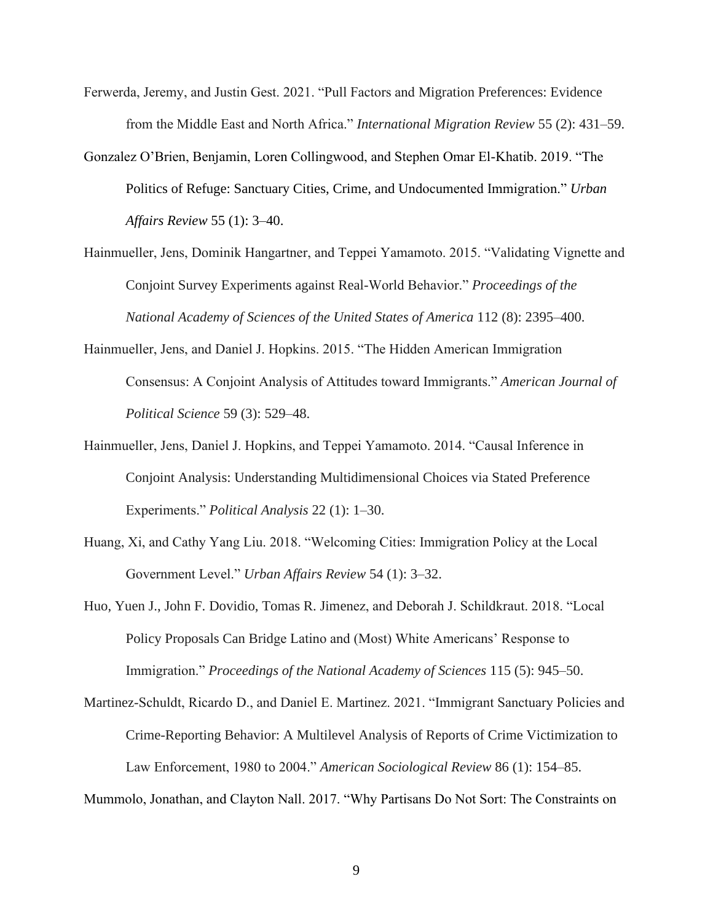- Ferwerda, Jeremy, and Justin Gest. 2021. "Pull Factors and Migration Preferences: Evidence from the Middle East and North Africa." *International Migration Review* 55 (2): 431–59.
- Gonzalez O'Brien, Benjamin, Loren Collingwood, and Stephen Omar El-Khatib. 2019. "The Politics of Refuge: Sanctuary Cities, Crime, and Undocumented Immigration." *Urban Affairs Review* 55 (1): 3–40.
- Hainmueller, Jens, Dominik Hangartner, and Teppei Yamamoto. 2015. "Validating Vignette and Conjoint Survey Experiments against Real-World Behavior." *Proceedings of the National Academy of Sciences of the United States of America* 112 (8): 2395–400.
- Hainmueller, Jens, and Daniel J. Hopkins. 2015. "The Hidden American Immigration Consensus: A Conjoint Analysis of Attitudes toward Immigrants." *American Journal of Political Science* 59 (3): 529–48.
- Hainmueller, Jens, Daniel J. Hopkins, and Teppei Yamamoto. 2014. "Causal Inference in Conjoint Analysis: Understanding Multidimensional Choices via Stated Preference Experiments." *Political Analysis* 22 (1): 1–30.
- Huang, Xi, and Cathy Yang Liu. 2018. "Welcoming Cities: Immigration Policy at the Local Government Level." *Urban Affairs Review* 54 (1): 3–32.
- Huo, Yuen J., John F. Dovidio, Tomas R. Jimenez, and Deborah J. Schildkraut. 2018. "Local Policy Proposals Can Bridge Latino and (Most) White Americans' Response to Immigration." *Proceedings of the National Academy of Sciences* 115 (5): 945–50.
- Martinez-Schuldt, Ricardo D., and Daniel E. Martinez. 2021. "Immigrant Sanctuary Policies and Crime-Reporting Behavior: A Multilevel Analysis of Reports of Crime Victimization to Law Enforcement, 1980 to 2004." *American Sociological Review* 86 (1): 154–85.

Mummolo, Jonathan, and Clayton Nall. 2017. "Why Partisans Do Not Sort: The Constraints on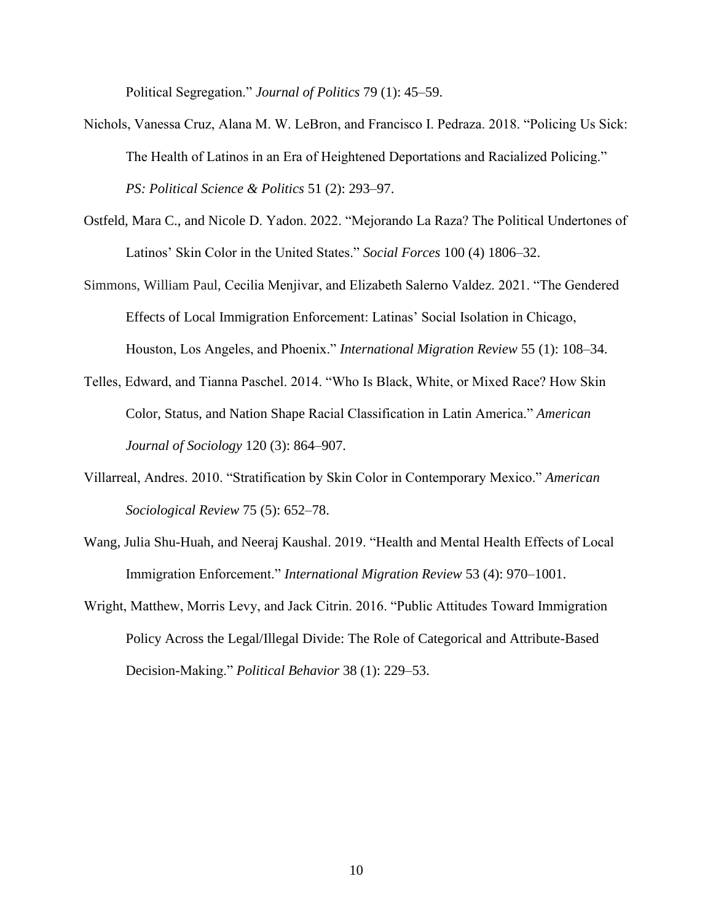Political Segregation." *Journal of Politics* 79 (1): 45–59.

- Nichols, Vanessa Cruz, Alana M. W. LeBron, and Francisco I. Pedraza. 2018. "Policing Us Sick: The Health of Latinos in an Era of Heightened Deportations and Racialized Policing." *PS: Political Science & Politics* 51 (2): 293–97.
- Ostfeld, Mara C., and Nicole D. Yadon. 2022. "Mejorando La Raza? The Political Undertones of Latinos' Skin Color in the United States." *Social Forces* 100 (4) 1806–32.
- Simmons, William Paul, Cecilia Menjivar, and Elizabeth Salerno Valdez. 2021. "The Gendered Effects of Local Immigration Enforcement: Latinas' Social Isolation in Chicago, Houston, Los Angeles, and Phoenix." *International Migration Review* 55 (1): 108–34.
- Telles, Edward, and Tianna Paschel. 2014. "Who Is Black, White, or Mixed Race? How Skin Color, Status, and Nation Shape Racial Classification in Latin America." *American Journal of Sociology* 120 (3): 864–907.
- Villarreal, Andres. 2010. "Stratification by Skin Color in Contemporary Mexico." *American Sociological Review* 75 (5): 652–78.
- Wang, Julia Shu-Huah, and Neeraj Kaushal. 2019. "Health and Mental Health Effects of Local Immigration Enforcement." *International Migration Review* 53 (4): 970–1001.
- Wright, Matthew, Morris Levy, and Jack Citrin. 2016. "Public Attitudes Toward Immigration Policy Across the Legal/Illegal Divide: The Role of Categorical and Attribute-Based Decision-Making." *Political Behavior* 38 (1): 229–53.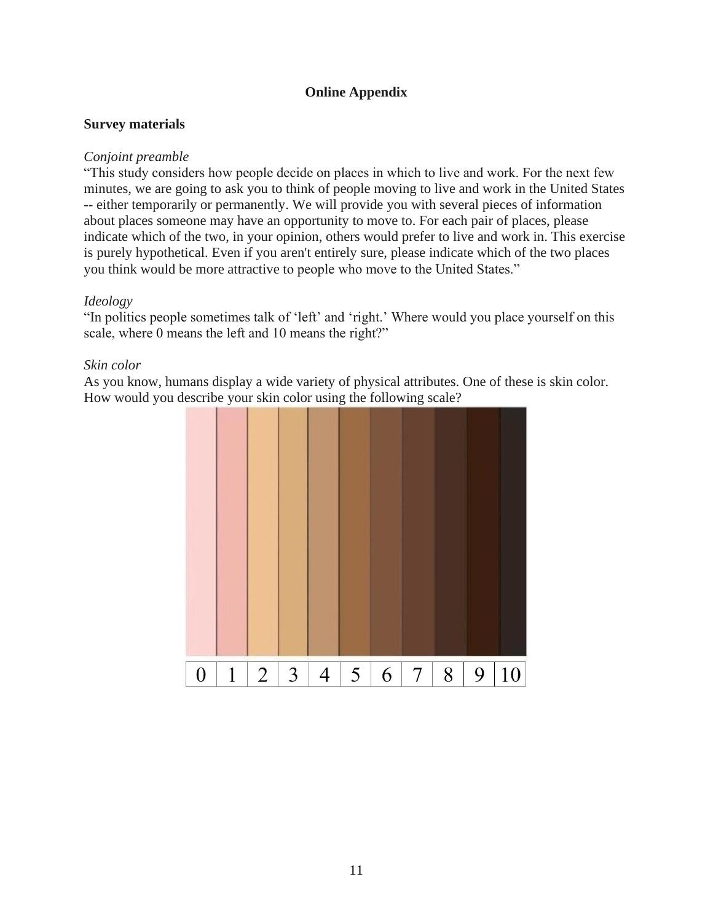## **Online Appendix**

## **Survey materials**

## *Conjoint preamble*

"This study considers how people decide on places in which to live and work. For the next few minutes, we are going to ask you to think of people moving to live and work in the United States -- either temporarily or permanently. We will provide you with several pieces of information about places someone may have an opportunity to move to. For each pair of places, please indicate which of the two, in your opinion, others would prefer to live and work in. This exercise is purely hypothetical. Even if you aren't entirely sure, please indicate which of the two places you think would be more attractive to people who move to the United States."

## *Ideology*

"In politics people sometimes talk of 'left' and 'right.' Where would you place yourself on this scale, where 0 means the left and 10 means the right?"

## *Skin color*

As you know, humans display a wide variety of physical attributes. One of these is skin color. How would you describe your skin color using the following scale?

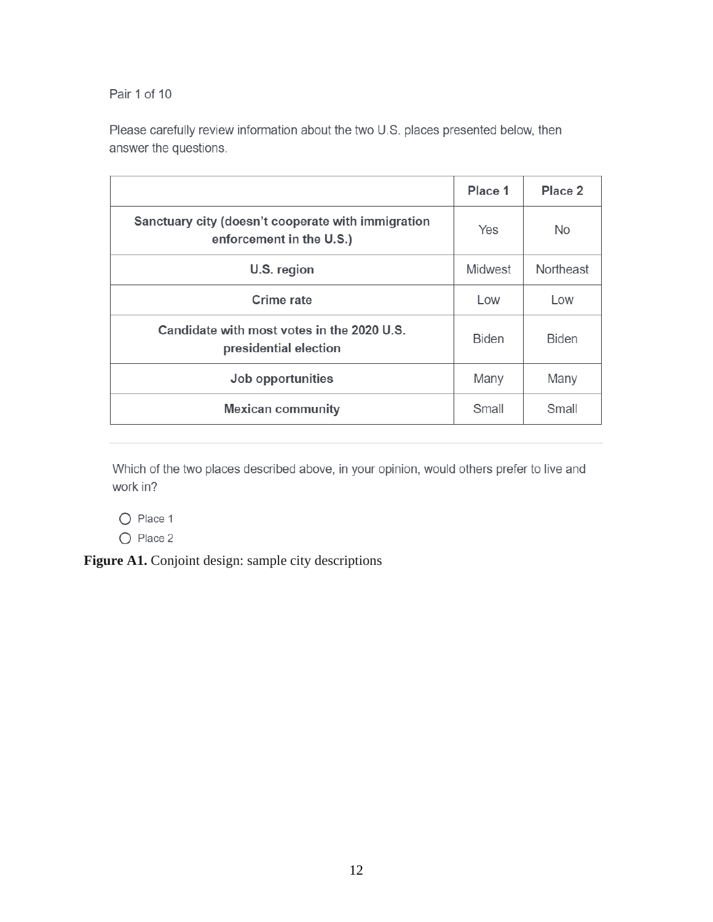Pair 1 of 10

Please carefully review information about the two U.S. places presented below, then answer the questions.

|                                                                                | Place 1      | Place 2      |
|--------------------------------------------------------------------------------|--------------|--------------|
| Sanctuary city (doesn't cooperate with immigration<br>enforcement in the U.S.) | Yes          | No.          |
| U.S. region                                                                    | Midwest      | Northeast    |
| Crime rate                                                                     | Low          | Low          |
| Candidate with most votes in the 2020 U.S.<br>presidential election            | <b>Biden</b> | <b>Biden</b> |
| Job opportunities                                                              | Many         | Many         |
| <b>Mexican community</b>                                                       | Small        | Small        |

Which of the two places described above, in your opinion, would others prefer to live and work in?

O Place 1

O Place 2

Figure A1. Conjoint design: sample city descriptions